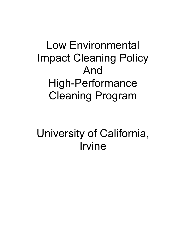# Low Environmental Impact Cleaning Policy And High-Performance Cleaning Program

University of California, Irvine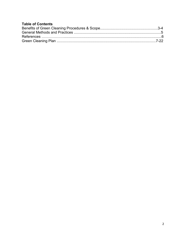# **Table of Contents**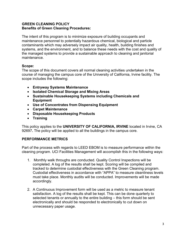#### **GREEN CLEANING POLICY Benefits of Green Cleaning Procedures:**

The intent of this program is to minimize exposure of building occupants and maintenance personnel to potentially hazardous chemical, biological and particle contaminants which may adversely impact air quality, health, building finishes and systems, and the environment, and to balance these needs with the cost and quality of the managed systems to provide a sustainable approach to cleaning and janitorial maintenance.

## **Scope:**

The scope of this document covers all normal cleaning activities undertaken in the course of managing the campus core of the University of California, Irvine facility. The scope includes the following:

- **Entryway Systems Maintenance**
- **Isolated Chemical Storage and Mixing Areas**
- **Sustainable Housekeeping Systems including Chemicals and Equipment**
- **Use of Concentrates from Dispensing Equipment**
- **Carpet Maintenance**
- **Disposable Housekeeping Products**
- **Training**

This policy applies to the **UNIVERSITY OF CALIFORNIA, IRVINE** located in Irvine, CA 92697**.** The policy will be applied to all the buildings in the campus core.

# **PERFORMANCE METRICS**

Part of the process with regards to LEED EBOM is to measure performance within the cleaning program. UCI Facilities Management will accomplish this in the following ways:

- 1. Monthly walk throughs are conducted. Quality Control Inspections will be completed. A log of the results shall be kept. Scoring will be compiled and tracked to determine custodial effectiveness with the Green Cleaning program. Custodial effectiveness in accordance with "APPA" to measure cleanliness levels must take place. Monthly audits will be conducted. Improvements will be made accordingly.
- 2. A Continuous Improvement form will be used as a metric to measure tenant satisfaction. A log of the results shall be kept. This can be done quarterly to selected tenants or annually to the entire building – this form should be sent electronically and should be responded to electronically to cut down on unnecessary paper usage.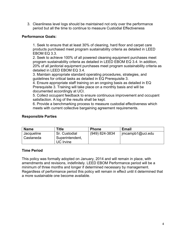3. Cleanliness level logs should be maintained not only over the performance period but all the time to continue to measure Custodial Effectiveness

#### **Performance Goals:**

1. Seek to ensure that at least 30% of cleaning, hard floor and carpet care products purchased meet program sustainability criteria as detailed in LEED EBOM EQ 3.3.

2. Seek to achieve 100% of all powered cleaning equipment purchases meet program sustainability criteria as detailed in LEED EBOM EQ 3.4. In addition, 20% of all janitorial equipment purchases meet program sustainability criteria as detailed in LEED EBOM EQ 3.4.

3. Maintain appropriate standard operating procedures, strategies, and guidelines for critical tasks as detailed in EQ Prerequisite 3.

4. Ensure appropriate staff training on an ongoing basis as detailed in EQ Prerequisite 3. Training will take place on a monthly basis and will be documented accordingly at UCI.

5. Collect occupant feedback to ensure continuous improvement and occupant satisfaction. A log of the results shall be kept.

6. Provide a benchmarking process to measure custodial effectiveness which meets with current collective bargaining agreement requirements.

#### **Responsible Parties**

| <b>Name</b>             | <b>Fitle</b>                                  | <b>Phone</b>   | <b>Email</b>         |
|-------------------------|-----------------------------------------------|----------------|----------------------|
| Jacqueline<br>Castaneda | Sr. Custodial<br>Superintendent,<br>UC Irvine | (949) 824-3834 | $ $ imcampb1@uci.edu |

## **Time Period**

This policy was formally adopted on January, 2014 and will remain in place, with amendments and revisions, indefinitely. LEED EBOM Performance period will be a minimum of three months and longer if determined necessary by management. Regardless of performance period this policy will remain in effect until it determined that a more sustainable one become available.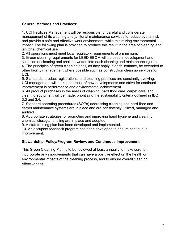# **General Methods and Practices:**

1. UCI Facilities Management will be responsible for careful and considerate management of its cleaning and janitorial maintenance services to reduce overall risk and provide a safe and effective work environment, while minimizing environmental impact. The following plan is provided to produce this result in the area of cleaning and janitorial chemical use.

2. All operations must meet local regulatory requirements at a minimum.

3. Green cleaning requirements for LEED EBOM will be used in development and selection of cleaning and shall be written into each cleaning and maintenance guide.

4. The principles of green cleaning shall, as they apply in each instance, be extended to other facility management where possible such as construction clean up services for UCI.

5. Standards, product registrations, and cleaning practices are constantly evolving. UCI management will be kept abreast of new developments and strive for continual improvement in performance and environmental achievement.

6. All product purchases in the areas of cleaning, hard floor care, carpet care, and cleaning equipment will be made, prioritizing the sustainability criteria outlined in IEQ 3.3 and 3.4.

7. Standard operating procedures (SOPs) addressing cleaning and hard floor and carpet maintenance systems are in place and are consistently utilized, managed and audited.

8. Appropriate strategies for promoting and improving hand hygiene and cleaning chemical storage/handling are in place and adopted.

9. A staff training plan has been developed and implemented.

10. An occupant feedback program has been developed to ensure continuous improvement.

# **Stewardship, Policy/Program Review, and Continuous Improvement**

This Green Cleaning Plan is to be reviewed at least annually to make sure to incorporate any improvements that can have a positive effect on the health or environmental impacts of the cleaning process, and to ensure overall cleaning effectiveness.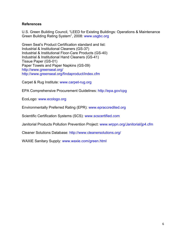## **References**

U.S. Green Building Council, "LEED for Existing Buildings: Operations & Maintenance Green Building Rating System", 2008: www.usgbc.org

Green Seal's Product Certification standard and list: Industrial & Institutional Cleaners (GS-37) Industrial & Institutional Floor-Care Products (GS-40) Industrial & Institutional Hand Cleaners (GS-41) Tissue Paper (GS-01) Paper Towels and Paper Napkins (GS-09) http://www.greenseal.org/ http://www.greenseal.org/findaproduct/index.cfm

Carpet & Rug Institute: www.carpet-rug.org

EPA Comprehensive Procurement Guidelines: http://epa.gov/cpg

EcoLogo: www.ecologo.org

Environmentally Preferred Rating (EPR): www.epraccredited.org

Scientific Certification Systems (SCS): www.scscertified.com

Janitorial Products Pollution Prevention Project: www.wrppn.org/Janitorial/jp4.cfm

Cleaner Solutions Database: http://www.cleanersolutions.org/

WAXIE Sanitary Supply: www.waxie.com/green.html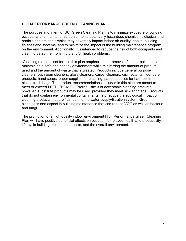#### **HIGH-PERFORMANCE GREEN CLEANING PLAN**

The purpose and intent of UCI Green Cleaning Plan is to minimize exposure of building occupants and maintenance personnel to potentially hazardous chemical, biological and particle contaminants which may adversely impact indoor air quality, health, building finishes and systems, and to minimize the impact of the building maintenance program on the environment. Additionally, it is intended to reduce the risk of both occupants and cleaning personnel from injury and/or health problems.

Cleaning methods set forth in this plan emphasize the removal of indoor pollutants and maintaining a safe and healthy environment while minimizing the amount of product used and the amount of waste that is created. Products include general purpose cleaners, bathroom cleaners, glass cleaners, carpet cleaners, disinfectants, floor care products, hand soaps, paper supplies for cleaning, paper supplies for bathrooms, and plastic trash bags. The product recommendations included in this plan are meant to meet or exceed LEED EBOM EQ Prerequisite 3 of acceptable cleaning products; however, substitute products may be used, provided they meet similar criteria. Products that do not contain environmental contaminants help reduce the ecological impact of cleaning products that are flushed into the water supply/filtration system. Green cleaning is one aspect in building maintenance that can reduce VOC as well as bacteria and fungi.

The promotion of a high quality indoor environment High Performance Green Cleaning Plan will have positive beneficial effects on occupant/employee health and productivity, life-cycle building maintenance costs, and the overall environment.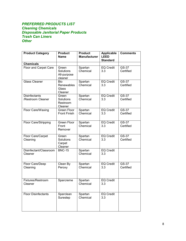#### *PREFERRED PRODUCTS LIST Cleaning Chemicals Disposable Janitorial Paper Products Trash Can Liners Other*

| <b>Product Category</b>                   | <b>Product</b><br><b>Name</b>                | <b>Product</b><br><b>Manufacturer</b> | <b>Applicable</b><br>LEED<br><b>Standard</b> | <b>Comments</b>    |
|-------------------------------------------|----------------------------------------------|---------------------------------------|----------------------------------------------|--------------------|
| <b>Chemicals</b>                          |                                              |                                       |                                              |                    |
| Floor and Carpet Care                     | Green<br>Solutions<br>All-purpose<br>cleaner | Spartan<br>Chemical                   | <b>EQ Credit</b><br>3.3                      | GS-37<br>Certified |
| <b>Glass Cleaner</b>                      | Bio<br>Renewables<br>Glass<br>Cleaner        | Spartan<br>Chemical                   | <b>EQ Credit</b><br>3.3                      | GS-37<br>Certified |
| <b>Disinfectants</b><br>/Restroom Cleaner | Green<br>Solutions<br>Restroom<br>Cleaner    | Spartan<br>Chemical                   | <b>EQ Credit</b><br>3.3                      | GS-37<br>Certified |
| Floor Care/Waxing                         | Green Floor<br><b>Front Finish</b>           | Spartan<br>Chemical                   | <b>EQ Credit</b><br>3.3                      | GS-37<br>Certified |
| Floor Care/Stripping                      | Green Floor<br>Front<br>Remover              | Spartan<br>Chemical                   | <b>EQ Credit</b><br>3.3                      | GS-37<br>Certified |
| Floor Care/Carpet<br>Cleaning             | Green<br>Solutions<br>Carpet<br>Cleaner      | Spartan<br>Chemical                   | <b>EQ Credit</b><br>3.3                      | GS-37<br>Certified |
| Disinfectant/Classroom<br>Cleaner         | <b>BNC-15</b>                                | Spartan<br>Chemical                   | <b>EQ Credit</b><br>3.3                      |                    |
| Floor Care/Deep<br>Cleaning               | Clean By<br>Peroxy                           | Spartan<br>Chemical                   | <b>EQ Credit</b><br>3.3                      | GS-37<br>Certified |
| Fixtures/Restroom<br>Cleaner              | Sparcreme                                    | Spartan<br>Chemical                   | <b>EQ Credit</b><br>3.3                      |                    |
| <b>Floor Disinfectants</b>                | Sparclean<br>Surestep                        | Spartan<br>Chemical                   | <b>EQ Credit</b><br>3.3                      |                    |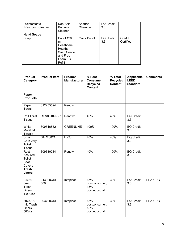| <b>Disinfectants</b><br>/Restroom Cleaner | Non-Acid<br><b>Bathroom</b><br>Cleaner                                                      | Spartan<br>Chemical | <b>EQ Credit</b><br>3.3 |                    |
|-------------------------------------------|---------------------------------------------------------------------------------------------|---------------------|-------------------------|--------------------|
| <b>Hand Soaps</b>                         |                                                                                             |                     |                         |                    |
| Soap                                      | Purell 1200<br>ml<br>Healthcare<br>Healthy<br>Soap Gentle<br>and Free<br>Foam ES8<br>Refill | Gojo- Purell        | <b>EQ Credit</b><br>3.3 | GS-41<br>Certified |

| <b>Product</b><br>Category                    | <b>Product Item</b> | <b>Product</b><br><b>Manufacturer</b> | % Post<br><b>Consumer</b><br><b>Recycled</b><br><b>Content</b> | % Total<br><b>Recycled</b><br><b>Content</b> | <b>Applicable</b><br><b>LEED</b><br><b>Standard</b> | <b>Comments</b> |
|-----------------------------------------------|---------------------|---------------------------------------|----------------------------------------------------------------|----------------------------------------------|-----------------------------------------------------|-----------------|
| Paper<br><b>Products</b>                      |                     |                                       |                                                                |                                              |                                                     |                 |
| Paper<br>Towel                                | 312255594           | Renown                                |                                                                |                                              |                                                     |                 |
| <b>Roll Toilet</b><br><b>Tissue</b>           | REN06109-SP         | Renown                                | 40%                                                            | 40%                                          | <b>EQ Credit</b><br>3.3                             |                 |
| White<br>Multifold<br><b>Towels</b>           | 309516852           | <b>GREENLINE</b>                      | 100%                                                           | 100%                                         | <b>EQ Credit</b><br>3.3                             |                 |
| Small<br>Core 2ply<br>Toilet<br><b>Tissue</b> | SAR26821            | LoCor                                 | 40%                                                            | 40%                                          | <b>EQ Credit</b><br>3.3                             |                 |
| Rest<br>Assured<br>Toilet<br>Seat<br>Covers   | 309330284           | Renown                                | 40%                                                            | 100%                                         | <b>EQ Credit</b><br>3.3                             |                 |
| <b>Trash</b><br><b>Liners</b>                 |                     |                                       |                                                                |                                              |                                                     |                 |
| 24x24-<br>6mic<br>Trash<br>Liners<br>1,000/cs | 243308CRL-<br>500   | Inteplast                             | 15%<br>postconsumer,<br>15%<br>postindustrial                  | 30%                                          | <b>EQ Credit</b><br>3.3                             | EPA-CPG         |
| 30x37-8<br>mic Trash<br>Liners<br>500/cs      | 303708CRL           | Inteplast                             | 15%<br>postconsumer,<br>15%<br>postindustrial                  | 30%                                          | <b>EQ Credit</b><br>3.3                             | EPA-CPG         |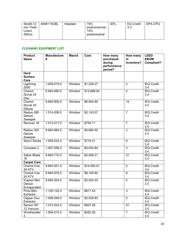| 40x48-12<br>mic Trash<br>Liners | 4048115CBL | Inteplast | 15%<br>postconsumer,<br>15% | 30% | <b>EQ Credit</b><br>3.3 | EPA-CPG |
|---------------------------------|------------|-----------|-----------------------------|-----|-------------------------|---------|
| $250$ /cs                       |            |           | postindustrial              |     |                         |         |

# *CLEANING EQUIPMENT LIST*

| <b>Product</b><br><b>Name</b>             | <b>Manufacture</b><br># | Manuf.  | Cost        | How many<br>purchased<br>during | How many<br>in<br>inventory? | <b>LEED</b><br><b>EBOM</b><br>Compliant? |
|-------------------------------------------|-------------------------|---------|-------------|---------------------------------|------------------------------|------------------------------------------|
|                                           |                         |         |             | performance<br>period?          |                              |                                          |
| <b>Hard</b><br><b>Surface</b><br>Care     |                         |         |             |                                 |                              |                                          |
| Lightning<br>2000                         | 1.009-019.0             | Windsor | \$1,228.27  |                                 | $\overline{2}$               | <b>IEQ Credit</b><br>3.4                 |
| Chariot<br>iScrub 24<br><b>Disc</b>       | 9.840-690.0             | Windsor | \$12,688.04 |                                 | 5                            | <b>IEQ Credit</b><br>3.4                 |
| Chariot<br>iScrub <sub>20</sub><br>Deluxe | 9.840-905.0             | Windsor | \$6,944.80  |                                 | 14                           | <b>IEQ Credit</b><br>3.4                 |
| Radius 280<br>Deluxe<br>Sweeper           | 1.514-206.0             | Windsor | \$2,143.57  |                                 | $\overline{7}$               | <b>IEQ Credit</b><br>3.4                 |
| Recover 18                                | $1.013 - 017.0$         | Windsor | \$755.71    |                                 | $\overline{7}$               | <b>IEQ Credit</b><br>3.4                 |
| Radius 300<br>Deluxe<br>Sweeper           | 9.840-664.0             | Windsor | \$4,684.55  |                                 | $\overline{2}$               | <b>IEQ Credit</b><br>3.4                 |
| <b>Storm Series</b>                       | 1.009-032.0             | Windsor | \$718.41    |                                 | 6                            | <b>IEQ Credit</b><br>3.4                 |
| Compass 2                                 | 1.007-056.0             | Windsor | \$4,042.84  |                                 | $\overline{3}$               | <b>IEQ Credit</b><br>3.4                 |
| Saber Blade<br>16                         | 9.840-710.0             | Windsor | \$2,948.21  |                                 | 21                           | <b>IEQ Credit</b><br>3.4                 |
| <b>Carpet Care</b>                        |                         |         |             |                                 |                              |                                          |
| Chariot iVac<br>34 ATV                    | 9.840-931.0             | Windsor | \$14,093.01 |                                 | $\overline{2}$               | <b>IEQ Credit</b><br>3.4                 |
| Chariot iVac<br><b>24 ATV</b>             | 9.840-916.0             | Windsor | \$8,164.60  |                                 | 8                            | <b>IEQ Credit</b><br>3.4                 |
| iCapsol Mini<br>Deluxe<br>Encapsulator    | 9.840-304.0             | Windsor | \$2,004.33  |                                 | $\mathbf 0$                  | <b>IEQ Credit</b><br>3.4                 |
| Priza Mini<br>Extractor                   | 1.100-122.0             | Windsor | \$817.43    |                                 | 3                            | <b>IEQ Credit</b><br>3.4                 |
| Clipper Duo<br>Extractor                  | 1.008-048.0             | Windsor | \$3,529.83  |                                 | 5                            | <b>IEQ Credit</b><br>3.4                 |
| Sensor XP<br>12 Vacuum                    | 1.012-024.0             | Windsor | \$507.26    |                                 | 51                           | <b>IEQ Credit</b><br>3.4                 |
| Windhandler<br>3                          | 1.004-015.0             | Windsor | \$252.26    |                                 | $\overline{7}$               | <b>IEQ Credit</b><br>3.4                 |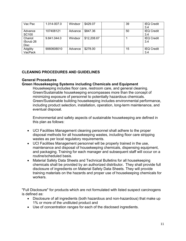| Vac Pac                                    | 1.014-007.0 | Windsor | \$429.07    | 39 | <b>IEQ Credit</b><br>3.4 |
|--------------------------------------------|-------------|---------|-------------|----|--------------------------|
| Advance<br><b>SC100</b>                    | 107408121   | Advance | \$847.36    | 50 | <b>IEQ Credit</b><br>3.4 |
| Chariot<br><b>IScrub 26</b><br><b>Disc</b> | 9.841.044.0 | Windsor | \$12,208.67 |    | <b>IEQ Credit</b><br>3.4 |
| Adgility<br>VacPack                        | 9060608010  | Advance | \$278.00    | 15 | <b>IEQ Credit</b><br>3.4 |

# **CLEANING PROCEDURES AND GUIDELINES**

#### **General Procedures**

#### **Green Housekeeping Systems including Chemicals and Equipment**

Housekeeping includes floor care, restroom care, and general cleaning. Green/Sustainable housekeeping encompasses more than the concept of minimizing exposure of personnel to potentially hazardous chemicals. Green/Sustainable building housekeeping includes environmental performance, including product selection, installation, operation, long-term maintenance, and eventual disposal.

Environmental and safety aspects of sustainable housekeeping are defined in this plan as follows:

- UCI Facilities Management cleaning personnel shall adhere to the proper disposal methods for all housekeeping wastes, including floor care stripping wastes as per local regulatory requirements.
- UCI Facilities Management personnel will be properly trained in the use, maintenance and disposal of housekeeping chemicals, dispensing equipment, and packaging. Training for each manager and subsequent staff will occur on a routine/scheduled basis.
- Material Safety Data Sheets and Technical Bulletins for all housekeeping chemicals shall be provided by an authorized distributor**.** They shall provide full disclosure of ingredients on Material Safety Data Sheets. They will provide training materials on the hazards and proper use of housekeeping chemicals for workers.

"Full Disclosure" for products which are not formulated with listed suspect carcinogens is defined as:

- Disclosure of all ingredients (both hazardous and non-hazardous) that make up 1% or more of the undiluted product and
- Use of concentration ranges for each of the disclosed ingredients.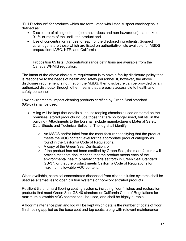"Full Disclosure" for products which are formulated with listed suspect carcinogens is defined as:

- Disclosure of all ingredients (both hazardous and non-hazardous) that make up 0.1% or more of the undiluted product and
- Use of concentration ranges for each of the disclosed ingredients. Suspect carcinogens are those which are listed on authoritative lists available for MSDS preparation: IARC, NTP, and California

Proposition 65 lists. Concentration range definitions are available from the Canada WHMIS regulation.

The intent of the above disclosure requirement is to have a facility disclosure policy that is responsive to the needs of health and safety personnel. If, however, the above disclosure requirement is not met on the MSDS, then disclosure can be provided by an authorized distributor through other means that are easily accessible to health and safety personnel.

Low environmental impact cleaning products certified by Green Seal standard (GS-37) shall be used.

- A log will be kept that details all housekeeping chemicals used or stored on the premises (stored products include those that are no longer used, but still in the building). Attachments to the log shall include manufacturer's Material Safety Data Sheets and Technical Bulletins. The log shall identify:
	- o An MSDS and/or label from the manufacturer specifying that the product meets the VOC content level for the appropriate product category as found in the California Code of Regulations.
	- o A copy of the Green Seal Certification, or
	- $\circ$  If the product has not been certified by Green Seal, the manufacturer will provide test data documenting that the product meets each of the environmental health & safety criteria set forth in Green Seal Standard GS-37, or that the product meets California Code of Regulations for maximum allowable VOC content.

When available, chemical concentrates dispensed from closed dilution systems shall be used as alternatives to open dilution systems or non-concentrated products.

Resilient tile and hard flooring coating systems, including floor finishes and restoration products that meet Green Seal GS-40 standard or California Code of Regulations for maximum allowable VOC content shall be used, and shall be highly durable.

A floor maintenance plan and log will be kept which details the number of coats of floor finish being applied as the base coat and top coats, along with relevant maintenance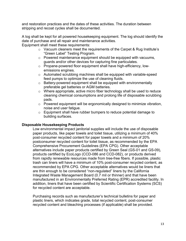and restoration practices and the dates of these activities. The duration between stripping and recoat cycles shall be documented.

A log shall be kept for all powered housekeeping equipment. The log should identify the date of purchase and all repair and maintenance activities.

Equipment shall meet these requirements:

- o Vacuum cleaners meet the requirements of the Carpet & Rug Institute's "Green Label" Testing Program.
- o Powered maintenance equipment should be equipped with vacuums, guards and/or other devices for capturing fine particulates.
- o Propane-powered floor equipment shall have high-efficiency, lowemissions engines.
- o Automated scrubbing machines shall be equipped with variable-speed feed pumps to optimize the use of cleaning fluids.
- o Battery-powered equipment shall be equipped with environmentally preferable gel batteries or AGM batteries.
- $\circ$  Where appropriate, active micro fiber technology shall be used to reduce cleaning chemical consumptions and prolong life of disposable scrubbing pads.
- o Powered equipment will be ergonomically designed to minimize vibration, noise and user fatigue.
- o Equipment shall have rubber bumpers to reduce potential damage to building surfaces.

#### **Disposable Housekeeping Products**

Low environmental impact janitorial supplies will include the use of disposable paper products, like paper towels and toilet tissue, utilizing a minimum of 40% post-consumer recycled content for paper towels and a minimum of 20% postconsumer recycled content for toilet tissue, as recommended by the EPA Comprehensive Procurement Guidelines (EPA CPG). Other acceptable alternatives include paper products certified by Green Seal (GS-01 and GS-09), products certified by EcoLogo (CCD-086 and CCD-082), or products derived from rapidly renewable resources made from tree-free fibers. If possible, plastic trash can liners will have a minimum of 10% post-consumer recycled content, as recommended by EPA CPG. Other acceptable alternatives would be liners that are thin enough to be considered "non-regulated" liners by the California Integrated Waste Management Board (0.7 mil or thinner) and that have been manufactured in an Environmentally Preferred Rating (EPR) accredited facility. In addition, liners that have been certified by Scientific Certification Systems (SCS) for recycled content are acceptable.

Purchasing records such as manufacturer's technical bulletins for paper and plastic liners, which indicates grade, total recycled content, post-consumer recycled content and bleaching processes (if applicable) shall be provided.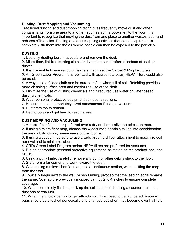## **Dusting, Dust Mopping and Vacuuming**

Traditional dusting and dust mopping techniques frequently move dust and other contaminants from one area to another, such as from a bookshelf to the floor. It is important to recognize that moving the dust from one place to another wastes labor and reduces efficiencies. Dusting and dust mopping activities that do not capture soils completely stir them into the air where people can then be exposed to the particles.

# **DUSTING**

1. Use only dusting tools that capture and remove the dust.

2. Micro-fiber, lint-free dusting cloths and vacuums are preferred instead of feather duster.

3. It is preferable to use vacuum cleaners that meet the Carpet & Rug Institute's (CRI) Green Label Program and be fitted with appropriate bags; HEPA filters could also be used.

4. Always use a folded cloth and be sure to refold when full of soil. Refolding provides more cleaning surface area and maximizes use of the cloth.

5. Minimize the use of dusting chemicals and if required use water or water based dusting chemicals.

6. Wear personal protective equipment per label directions.

7. Be sure to use appropriately sized attachments if using a vacuum.

8. Dust from top to bottom.

9. Be thorough and get hard to reach areas.

# **DUST MOPPING AND VACUUMING**

1. A micro-fiber flat mop is preferred over a dry or chemically treated cotton mop.

2. If using a micro-fiber mop, choose the widest mop possible taking into consideration the area, obstructions, unevenness of the floor, etc.

3. If using a vacuum, be sure to use a wide area hard floor attachment to maximize soil removal and to minimize labor.

4. CRI's Green Label Program and/or HEPA filters are preferred for vacuums.

5. Put on appropriate personal protective equipment, as stated on the product label and MSDS.

6. Using a putty knife, carefully remove any gum or other debris stuck to the floor.

7. Start from a far corner and work toward the door.

8. When using a micro-fiber flat mop, use a continuous motion, without lifting the mop from the floor.

9. Typically begin next to the wall. When turning, pivot so that the leading edge remains the same. Overlap the previously mopped path by 2 to 4 inches to ensure complete coverage.

10. When completely finished, pick up the collected debris using a counter brush and dust pan or vacuum.

11. When the micro-fiber no longer attracts soil, it will need to be laundered. Vacuum bags should be checked periodically and changed out when they become over half-full.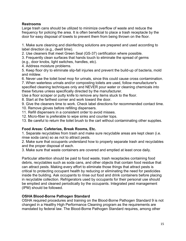## **Restrooms**

Large trash cans should be utilized to minimize overflow of waste and reduce the frequency for policing the area. It is often beneficial to place a trash receptacle by the door for easy disposal of towels to prevent them from being thrown on the floor.

1. Make sure cleaning and disinfecting solutions are prepared and used according to label direction (e.g., dwell time).

2. Use cleaners that meet Green Seal (GS-37) certification where possible.

3. Frequently clean surfaces that hands touch to eliminate the spread of germs

(e.g., door knobs, light switches, handles, etc).

4. Address moisture problems.

5. Keep floor dry to eliminate slip-fall injuries and prevent the build-up of bacteria, mold and mildew.

6. Never use the toilet bowl mop for urinals, since this could cause cross contamination.

7. When waterless urinals and/or composting toilets are used, follow manufacturer's specified cleaning techniques only and NEVER pour water or cleaning chemicals into these fixtures unless specifically directed by the manufacturer.

Use a floor scraper or putty knife to remove any items stuck to the floor.

8. Start at the farthest corner and work toward the door.

9. Give the cleaners time to work. Check label directions for recommended contact time. 10. Remove gloves before refilling dispensers.

11. Refill dispensers in a consistent order to avoid misses.

12. Micro-fiber is preferable to wipe sinks and counter tops.

13. Be careful to return the toilet brush to the cart without contaminating other supplies.

## **Food Areas: Cafeterias, Break Rooms, Etc.**

1. Separate recyclables from trash and make sure recyclable areas are kept clean (i.e. rinse soda cans) so as not to attract pests.

2. Make sure that occupants understand how to properly separate trash and recyclables and the proper disposal of each.

3. Make sure that waste containers are covered and emptied at least once daily.

Particular attention should be paid to food waste, trash receptacles containing food debris, recyclables such as soda cans, and other objects that contain food residue that can attract pests. Making every effort to eliminate those things that attract pests is critical to protecting occupant health by reducing or eliminating the need for pesticides inside the building. Ask occupants to rinse out food and drink containers before placing in recyclable collection. Refrigerators used by occupants for their personal use should be emptied and cleaned periodically by the occupants. Integrated pest management (IPM) should be followed.

## **OSHA Blood-Borne Pathogen Standard**

OSHA required procedures and training on the Blood-Borne Pathogen Standard 9 is not changed in a Healthy High Performance Cleaning program as the requirements are mandated by federal law. The Blood-Borne Pathogen Standard requires, among other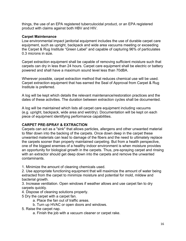things, the use of an EPA registered tuberculocidal product, or an EPA registered product with claims against both HBV and HIV.

#### **Carpet Maintenance**

Low environmental impact janitorial equipment includes the use of durable carpet care equipment, such as upright, backpack and wide area vacuums meeting or exceeding the Carpet & Rug Institute "Green Label" and capable of capturing 96% of particulates 0.3 microns in size.

Carpet extraction equipment shall be capable of removing sufficient moisture such that carpets can dry in less than 24 hours. Carpet care equipment shall be electric or battery powered and shall have a maximum sound level less than 70dBA.

Wherever possible, carpet extraction method that reduces chemical use will be used. Carpet extraction equipment that has earned the Seal of Approval from Carpet & Rug Institute is preferred.

A log will be kept which details the relevant maintenance/restoration practices and the dates of these activities. The duration between extraction cycles shall be documented.

A log will be maintained which lists all carpet care equipment including vacuums (e.g. upright, backpack, wide area and wet/dry). Documentation will be kept on each piece of equipment identifying performance capabilities.

## **CARPET PRE-SPRAY & EXTRACTION**

Carpets can act as a "sink" that allows particles, allergens and other unwanted material to filter down into the backing of the carpets. Once down deep in the carpet these unwanted materials can lead to damage of the fibers and the need to ultimately replace the carpets sooner than properly maintained carpeting. But from a health perspective, one of the biggest enemies of a healthy indoor environment is when moisture provides an opportunity for biological growth in the carpets. Thus, pre-spraying carpet and rinsing with an extractor should get deep down into the carpets and remove the unwanted contaminants.

1. Minimize the amount of cleaning chemicals used.

2. Use appropriate functioning equipment that will maximize the amount of water being extracted from the carpet to minimize moisture and potential for mold, mildew and bacterial growth.

3. Increase ventilation. Open windows if weather allows and use carpet fan to dry carpets quickly.

4. Dispose of cleaning solutions properly.

5 Dry the carpet with a carpet fan.

- a. Place the fan out of traffic areas.
- b. Turn up HVAC or open doors and windows.
- 5. Raise the carpet nap.
	- a. Finish the job with a vacuum cleaner or carpet rake.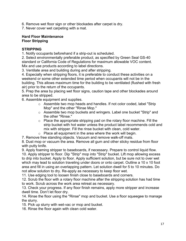6. Remove wet floor sign or other blockades after carpet is dry.

7. Never cover wet carpeting with a mat.

#### **Hard Floor Maintenance Floor Stripping**

# **STRIPPING**

1. Notify occupants beforehand if a strip-out is scheduled.

2. Select environmentally preferable product, as specified by Green Seal GS-40 standard or California Code of Regulations for maximum allowable VOC content. Mix and use products according to label directions.

3. Ventilate area and building during and after stripping.

4. Especially when stripping floors, it is preferable to conduct these activities on a weekend or some other extended time period when occupants will not be in the building. This allows maximum time for the building to be ventilated (flushed with fresh air) prior to the return of the occupants.

5. Prep the area by placing wet floor signs, caution tape and other blockades around area to be stripped.

6. Assemble equipment and supplies.

- o Assemble two mop heads and handles. If not color coded, label "Strip Mop" and the other "Rinse Mop."
- o Assemble two mop buckets and wringers. Label one bucket "Strip" and the other "Rinse."
- $\circ$  Place the appropriate stripping pad on the rotary floor machine. Fill the strip bucket with hot water unless the product label recommends cold and mix with stripper. Fill the rinse bucket with clean, cold water.
- $\circ$  Place all equipment in the area where the work will begin.
- 7. Remove free standing objects. Vacuum and remove walk-off mats.

8. Dust mop or vacuum the area. Remove all gum and other sticky residue from floor with putty knife.

9. Apply foaming stripper to baseboards, if necessary. Prepare to control liquid flow. 10. Apply stripper to floor. Dip "Strip" mop into "Strip" bucket. Lift mop allowing excess to drip into bucket. Apply to floor. Apply sufficient solution, but be sure not to over wet which may lead to solution traveling under doors or onto carpet. Outline a 10 x 10 foot area and fill in using an overlapping pattern. Let solution dwell for 5 to 10 minutes. Do not allow solution to dry. Re-apply as necessary to keep floor wet.

11. Use edging tool to loosen finish close to baseboards and corners.

12. Scrub the floor with a rotary floor machine after the stripping solution has had time to work. Scrub across the work area retreat as necessary.

13. Check your progress. If any floor finish remains, apply more stripper and increase dwell time. Don't let floor dry.

14. Rinse the floor using the "Rinse" mop and bucket. Use a floor squeegee to manage the slurry.

15. Pick up slurry with wet-vac or mop and bucket.

16. Rinse the floor again with clean cold water.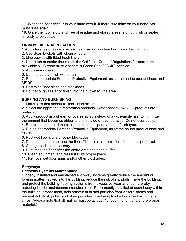17. When the floor dries, rub your hand over it. If there is residue on your hand, you must rinse again.

18. Once the floor is dry and free of residue and glossy areas (sign of finish or sealer), it is ready to be coated.

# **FINISH/SEALER APPLICATION**

1 Apply finishes or sealers with a clean rayon mop head or micro-fiber flat mop.

2. Use clean buckets with clean wheels.

- 3. Line bucket with fitted trash liner.
- 4. Use finish or sealer that meets the California Code of Regulations for maximum allowable VOC content, or one that is Green Seal (GS-40) certified.
- 5. Apply even coats.
- 6. Don't force dry finish with a fan.

7. Put on appropriate Personal Protective Equipment, as stated on the product label and MSDS.

8. Post Wet Floor signs and blockades.

9. Pour enough sealer or finish into the bucket for the area.

# **BUFFING AND BURNISHING**

1. Make sure that adequate floor finish exists.

2. Select the appropriate restoration products. Water-based, low VOC products are preferred.

3. Apply product in a stream or coarse spray instead of a wide-angle mist to minimize the amount that becomes airborne and inhaled or over sprayed. Do not over apply.

4. Be sure that the pad matches the machine speed and the finish type.

5. Put on appropriate Personal Protective Equipment, as stated on the product label and MSDS.

6. Post wet floor signs or other blockades.

7. Dust mop and damp mop the floor. The use of a micro-fiber flat mop is preferred.

8. Change pads as necessary.

9. Dust mop the floor after the entire area has been buffed.

10. Clean equipment and return it to its proper place.

11. Remove wet floor signs and/or other blockades.

# **Entryways**

## **Entryway Systems Maintenance**

Properly installed and maintained entryway systems greatly reduce the amount of foreign matter tracked into the building, reduce the risk of slips/falls inside the building, and protect the building flooring systems from excessive wear and tear, thereby reducing interior maintenance requirements. Permanently installed at each lobby within the building, proper mats, help remove dust and particles from visitors' shoes and prevent dirt, dust, pollen and other particles from being tracked into the building at all times. (Please note that all mating must be at least 10 feet in length and of the proper material.)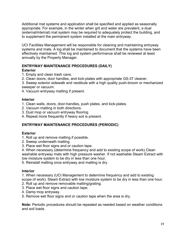Additional mat systems and application shall be specified and applied as seasonally appropriate. For example, in the winter when grit and water are prevalent, a dual (external/internal) mat system may be required to adequately protect the building, and to supplement the permanent system installed at the main entryway.

UCI Facilities Management will be responsible for cleaning and maintaining entryway systems and mats. A log shall be maintained to document that the systems have been effectively maintained. This log and system performance shall be reviewed at least annually by the Property Manager.

#### **ENTRYWAY MAINTENANCE PROCEDURES (DAILY) Exterior**

1. Empty and clean trash cans.

2. Clean doors, door handles, and kick-plates with appropriate GS-37 cleaner.

3. Sweep exterior sidewalk and vestibule with a high quality push-broom or mechanized sweeper or vacuum.

4. Vacuum entryway matting if present.

#### **Interior**

1. Clean walls, doors, door-handles, push plates, and kick-plates.

- 2. Vacuum matting in both directions.
- 3. Dust mop or vacuum entryway flooring.
- 4. Repeat more frequently if heavy soil is present.

# **ENTRYWAY MAINTENANCE PROCEDURES (PERIODIC)**

## **Exterior**

1. Roll up and remove matting if possible.

- 2. Sweep underneath matting.
- 3. Place wet floor signs and or caution tape.

4. When necessary (determine frequency and add to existing scope of work) Clean washable entryway mats with high pressure washer. If not washable Steam Extract with low moisture system to be dry in less than one hour.

5. Reinstall matting once entryway and matting is dry.

## **Interior**

1. When necessary (UCI Management to determine frequency and add to existing scope of work). Steam Extract with low moisture system to be dry in less than one hour.

- 2. Roll up and remove removable matting/grating.
- 3. Place wet floor signs and caution tape.
- 4. Damp mop entryway.
- 5. Remove wet floor signs and or caution tape when the area is dry.

**Note:** Periodic procedures should be repeated as needed based on weather conditions and soil loads.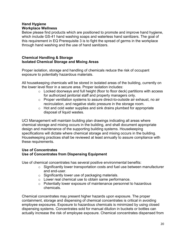#### **Hand Hygiene Workplace Wellness**

Below please find products which are positioned to promote and improve hand hygiene, which include GS-41 hand washing soaps and waterless hand sanitizers. The goal of this requirement in EQ Prerequisite 3 is to fight the spread of germs in the workplace through hand washing and the use of hand sanitizers.

#### **Chemical Handling & Storage Isolated Chemical Storage and Mixing Areas**

Proper isolation, storage and handling of chemicals reduce the risk of occupant exposure to potentially hazardous materials.

All housekeeping chemicals will be stored in isolated areas of the building, currently on the lower level floor in a secure area. Proper isolation includes:

- o Locked doorways and full height (floor to floor deck) partitions with access for authorized janitorial staff and property managers only.
- o Proper ventilation systems to assure direct-to-outside air exhaust, no air recirculation, and negative static pressure in the storage room.
- $\circ$  Hot and cold water supplies and sink drains plumbed for appropriate disposal of liquid wastes.

UCI Management will maintain building plan drawings indicating all areas where chemical storage and mixing occurs in the building, and shall document appropriate design and maintenance of the supporting building systems. Housekeeping specifications will dictate where chemical storage and mixing occurs in the building. Housekeeping practices shall be reviewed at least annually to assure compliance with these requirements.

## **Use of Concentrates Use of Concentrates from Dispensing Equipment**

Use of chemical concentrates has several positive environmental benefits:

- o Significantly lower transportation costs and fuel use between manufacturer and end-user.
- o Significantly lower use of packaging materials.
- o Lower real chemical use to obtain same performance.
- o Potentially lower exposure of maintenance personnel to hazardous chemicals.

Chemical concentrates may present higher hazards upon exposure. The proper containment, storage and dispensing of chemical concentrates is critical in avoiding employee exposures. Exposure to hazardous chemicals is minimized by using closed dispensing systems. Concentrates sold for manual dilution in buckets or bottles can actually increase the risk of employee exposure. Chemical concentrates dispensed from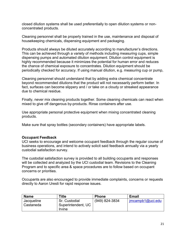closed dilution systems shall be used preferentially to open dilution systems or nonconcentrated products.

Cleaning personnel shall be properly trained in the use, maintenance and disposal of housekeeping chemicals, dispensing equipment and packaging.

Products should always be diluted accurately according to manufacturer's directions. This can be achieved through a variety of methods including measuring cups, simple dispensing pumps and automated dilution equipment. Dilution control equipment is highly recommended because it minimizes the potential for human error and reduces the chance of chemical exposure to concentrates. Dilution equipment should be periodically checked for accuracy. If using manual dilution, e.g. measuring cup or pump,

Cleaning personnel should understand that by adding extra chemical concentrate beyond recommended dilutions that the product will not necessarily perform better. In fact, surfaces can become slippery and / or take on a cloudy or streaked appearance due to chemical residue.

Finally, never mix cleaning products together. Some cleaning chemicals can react when mixed to give off dangerous by-products. Rinse containers after use.

Use appropriate personal protective equipment when mixing concentrated cleaning products.

Make sure that spray bottles (secondary containers) have appropriate labels.

#### **Occupant Feedback**

UCI seeks to encourage and welcome occupant feedback through the regular course of business operations, and intend to actively solicit said feedback annually via a yearly custodial satisfaction survey.

The custodial satisfaction survey is provided to all building occupants and responses will be collected and analyzed by the UCI custodial team. Revisions to the Cleaning Program and to specific area & space procedures are to follow based on occupant concerns or priorities.

Occupants are also encouraged to provide immediate complaints, concerns or requests directly to Aaron Uresti for rapid response issues.

| <b>Name</b>             | ™itle                                         | <b>Phone</b>   | <b>Email</b>    |
|-------------------------|-----------------------------------------------|----------------|-----------------|
| Jacqueline<br>Castaneda | Sr. Custodial<br>Superintendent, UC<br>Irvine | (949) 824-3834 | imcamp1@uci.edu |